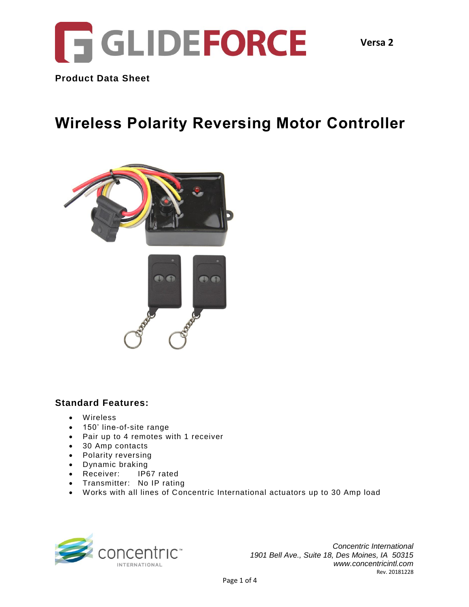

**Product Data Sheet**

# **Wireless Polarity Reversing Motor Controller**



### **Standard Features:**

- Wireless
- 150' line-of-site range
- Pair up to 4 remotes with 1 receiver
- 30 Amp contacts
- Polarity reversing
- Dynamic braking
- Receiver: IP67 rated
- Transmitter: No IP rating
- Works with all lines of Concentric International actuators up to 30 Amp load



*Concentric International 1901 Bell Ave., Suite 18, Des Moines, IA 50315 www.concentricintl.com* Rev. 20181228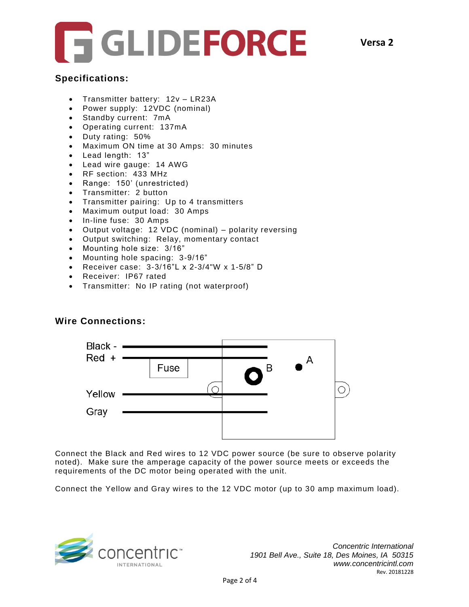

### **Specifications:**

- Transmitter battery: 12v LR23A
- Power supply: 12VDC (nominal)
- Standby current: 7mA
- Operating current: 137mA
- Duty rating: 50%
- Maximum ON time at 30 Amps: 30 minutes
- Lead length: 13"
- Lead wire gauge: 14 AWG
- RF section: 433 MHz
- Range: 150' (unrestricted)
- Transmitter: 2 button
- Transmitter pairing: Up to 4 transmitters
- Maximum output load: 30 Amps
- In-line fuse: 30 Amps
- Output voltage: 12 VDC (nominal) polarity reversing
- Output switching: Relay, momentary contact
- Mounting hole size: 3/16"
- Mounting hole spacing: 3-9/16"
- Receiver case: 3-3/16"L x 2-3/4"W x 1-5/8" D
- Receiver: IP67 rated
- Transmitter: No IP rating (not waterproof)

## **Wire Connections:**



Connect the Black and Red wires to 12 VDC power source (be sure to observe polarity noted). Make sure the amperage capacity of the power source meets or exceeds the requirements of the DC motor being operated with the unit.

Connect the Yellow and Gray wires to the 12 VDC motor (up to 30 amp maximum load).

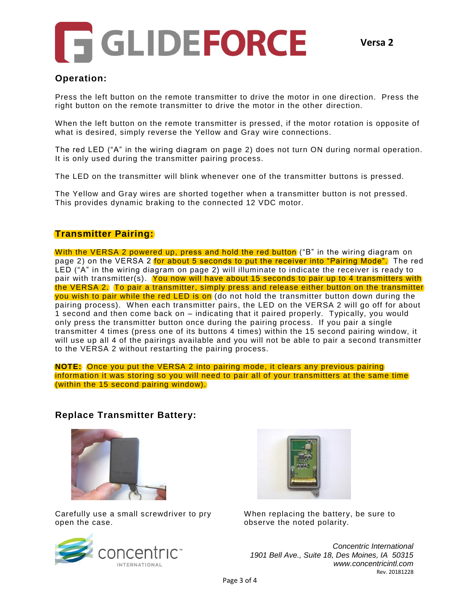

## **Operation:**

Press the left button on the remote transmitter to drive the motor in one direction. Press the right button on the remote transmitter to drive the motor in the other direction.

When the left button on the remote transmitter is pressed, if the motor rotation is opposite of what is desired, simply reverse the Yellow and Gray wire connections.

The red LED ("A" in the wiring diagram on page 2) does not turn ON during normal operation. It is only used during the transmitter pairing process.

The LED on the transmitter will blink whenever one of the transmitter buttons is pressed.

The Yellow and Gray wires are shorted together when a transmitter button is not pressed. This provides dynamic braking to the connected 12 VDC motor.

#### **Transmitter Pairing:**

With the VERSA 2 powered up, press and hold the red button ("B" in the wiring diagram on page 2) on the VERSA 2 for about 5 seconds to put the receiver into "Pairing Mode". The red LED ("A" in the wiring diagram on page 2) will illuminate to indicate the receiver is ready to pair with transmitter(s). You now will have about 15 seconds to pair up to 4 transmitters with the VERSA 2. To pair a transmitter, simply press and release either button on the transmitter you wish to pair while the red LED is on (do not hold the transmitter button down during the pairing process). When each transmitter pairs, the LED on the VERSA 2 will go off for about 1 second and then come back on – indicating that it paired properly. Typically, you would only press the transmitter button once during the pairing process. If you pair a single transmitter 4 times (press one of its buttons 4 times) within the 15 second pairing window, it will use up all 4 of the pairings available and you will not be able to pair a second transmitter to the VERSA 2 without restarting the pairing process.

**NOTE:** Once you put the VERSA 2 into pairing mode, it clears any previous pairing information it was storing so you will need to pair all of your transmitters at the same time (within the 15 second pairing window).

### **Replace Transmitter Battery:**



Carefully use a small screwdriver to pry open the case.





When replacing the battery, be sure to observe the noted polarity.

*Concentric International 1901 Bell Ave., Suite 18, Des Moines, IA 50315 www.concentricintl.com* Rev. 20181228